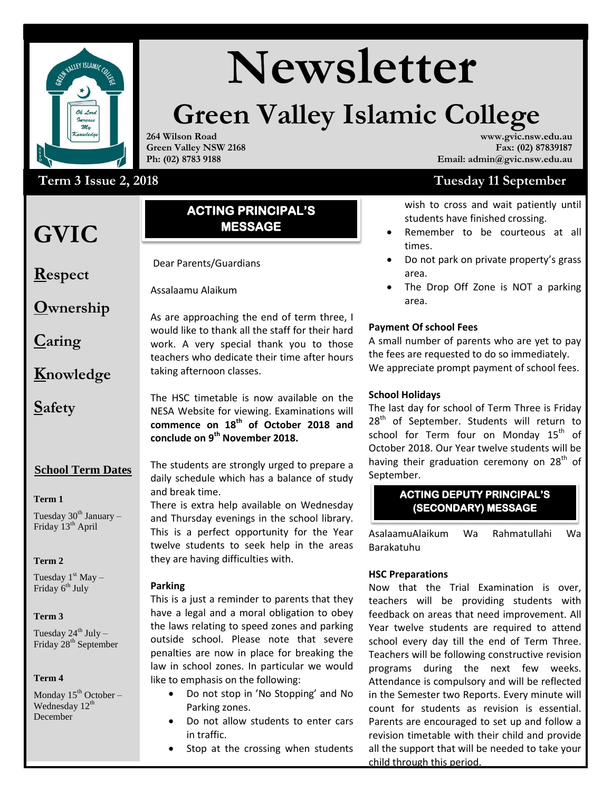

# **Newsletter**

# **Green Valley Islamic College**

**264 Wilson Road Green Valley NSW 2168 Ph: (02) 8783 9188**

# Term 3 Issue 2, 2018 **SeptemberAugus2018**

# **GVIC**

### **ACTING PRINCIPAL'S MESSAGE**

**Respect**

**Ownership**

**Caring**

**Knowledge**

**Safety**

**School Term Dates** 

#### **Term 1**

Tuesday  $30<sup>th</sup>$  January – Friday 13<sup>th</sup> April

#### **Term 2**

Tuesday  $1<sup>st</sup>$  May – Friday 6<sup>th</sup> July

#### **Term 3**

Tuesday  $24^{th}$  July – Friday 28<sup>th</sup> September

#### **Term 4**

Monday  $15^{th}$  October – Wednesday  $12<sup>th</sup>$ December

# Assalaam Alaikum WRWB

Dear Parents/Guardians

Assalaamu Alaikum

As are approaching the end of term three, I would like to thank all the staff for their hard work. A very special thank you to those teachers who dedicate their time after hours taking afternoon classes.

The HSC timetable is now available on the NESA Website for viewing. Examinations will **commence on 18th of October 2018 and conclude on 9 th November 2018.**

The students are strongly urged to prepare a daily schedule which has a balance of study and break time.

There is extra help available on Wednesday and Thursday evenings in the school library. This is a perfect opportunity for the Year twelve students to seek help in the areas they are having difficulties with.

#### **Parking**

outside school. Please note that severe school This is a just a reminder to parents that they have a legal and a moral obligation to obey the laws relating to speed zones and parking penalties are now in place for breaking the law in school zones. In particular we would like to emphasis on the following:

- Do not stop in 'No Stopping' and No Parking zones.
- Do not allow students to enter cars in traffic.
- Stop at the crossing when students

#### **www.gvic.nsw.edu.au Fax: (02) 87839187 Email: admin@gvic.nsw.edu.au**

# **Tuesday 11 September**

wish to cross and wait patiently until students have finished crossing.

- Remember to be courteous at all times.
- Do not park on private property's grass area.
- The Drop Off Zone is NOT a parking area.

#### **Payment Of school Fees**

A small number of parents who are yet to pay the fees are requested to do so immediately. We appreciate prompt payment of school fees.

#### **School Holidays**

The last day for school of Term Three is Friday 28<sup>th</sup> of September. Students will return to school for Term four on Monday  $15<sup>th</sup>$  of October 2018. Our Year twelve students will be having their graduation ceremony on 28<sup>th</sup> of September.

#### **ACTING DEPUTY PRINCIPAL'S (SECONDARY) MESSAGE**

AsalaamuAlaikum Wa Rahmatullahi Wa Barakatuhu

#### **HSC Preparations**

Now that the Trial Examination is over, teachers will be providing students with feedback on areas that need improvement. All Year twelve students are required to attend school every day till the end of Term Three. Teachers will be following constructive revision programs during the next few weeks. Attendance is compulsory and will be reflected in the Semester two Reports. Every minute will count for students as revision is essential. Parents are encouraged to set up and follow a revision timetable with their child and provide all the support that will be needed to take your child through this period.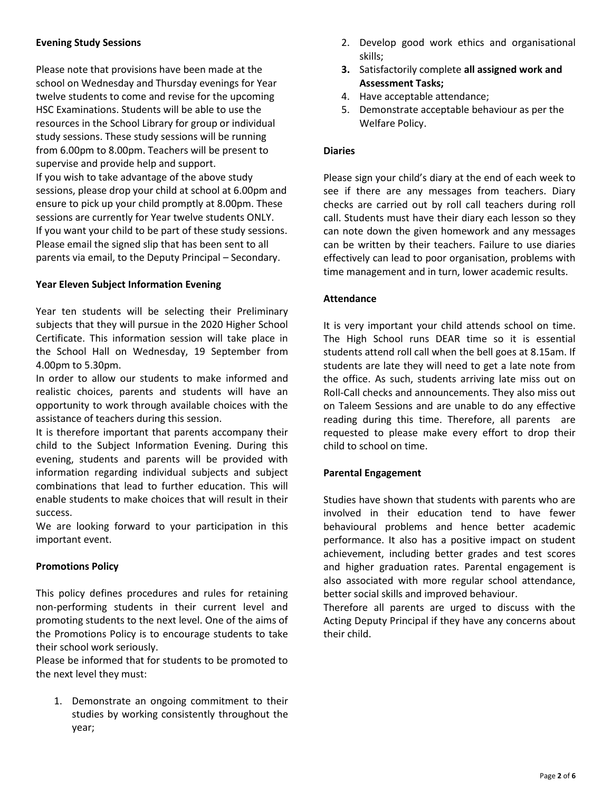#### **Evening Study Sessions**

Please note that provisions have been made at the school on Wednesday and Thursday evenings for Year twelve students to come and revise for the upcoming HSC Examinations. Students will be able to use the resources in the School Library for group or individual study sessions. These study sessions will be running from 6.00pm to 8.00pm. Teachers will be present to supervise and provide help and support. If you wish to take advantage of the above study sessions, please drop your child at school at 6.00pm and ensure to pick up your child promptly at 8.00pm. These sessions are currently for Year twelve students ONLY. If you want your child to be part of these study sessions. Please email the signed slip that has been sent to all parents via email, to the Deputy Principal – Secondary.

#### **Year Eleven Subject Information Evening**

Year ten students will be selecting their Preliminary subjects that they will pursue in the 2020 Higher School Certificate. This information session will take place in the School Hall on Wednesday, 19 September from 4.00pm to 5.30pm.

In order to allow our students to make informed and realistic choices, parents and students will have an opportunity to work through available choices with the assistance of teachers during this session.

It is therefore important that parents accompany their child to the Subject Information Evening. During this evening, students and parents will be provided with information regarding individual subjects and subject combinations that lead to further education. This will enable students to make choices that will result in their success.

We are looking forward to your participation in this important event.

#### **Promotions Policy**

This policy defines procedures and rules for retaining non-performing students in their current level and promoting students to the next level. One of the aims of the Promotions Policy is to encourage students to take their school work seriously.

Please be informed that for students to be promoted to the next level they must:

1. Demonstrate an ongoing commitment to their studies by working consistently throughout the year;

- 2. Develop good work ethics and organisational skills;
- **3.** Satisfactorily complete **all assigned work and Assessment Tasks;**
- 4. Have acceptable attendance;
- 5. Demonstrate acceptable behaviour as per the Welfare Policy.

#### **Diaries**

Please sign your child's diary at the end of each week to see if there are any messages from teachers. Diary checks are carried out by roll call teachers during roll call. Students must have their diary each lesson so they can note down the given homework and any messages can be written by their teachers. Failure to use diaries effectively can lead to poor organisation, problems with time management and in turn, lower academic results.

#### **Attendance**

It is very important your child attends school on time. The High School runs DEAR time so it is essential students attend roll call when the bell goes at 8.15am. If students are late they will need to get a late note from the office. As such, students arriving late miss out on Roll-Call checks and announcements. They also miss out on Taleem Sessions and are unable to do any effective reading during this time. Therefore, all parents are requested to please make every effort to drop their child to school on time.

#### **Parental Engagement**

Studies have shown that students with parents who are involved in their education tend to have fewer behavioural problems and hence better academic performance. It also has a positive impact on student achievement, including better grades and test scores and higher graduation rates. Parental engagement is also associated with more regular school attendance, better social skills and improved behaviour.

Therefore all parents are urged to discuss with the Acting Deputy Principal if they have any concerns about their child.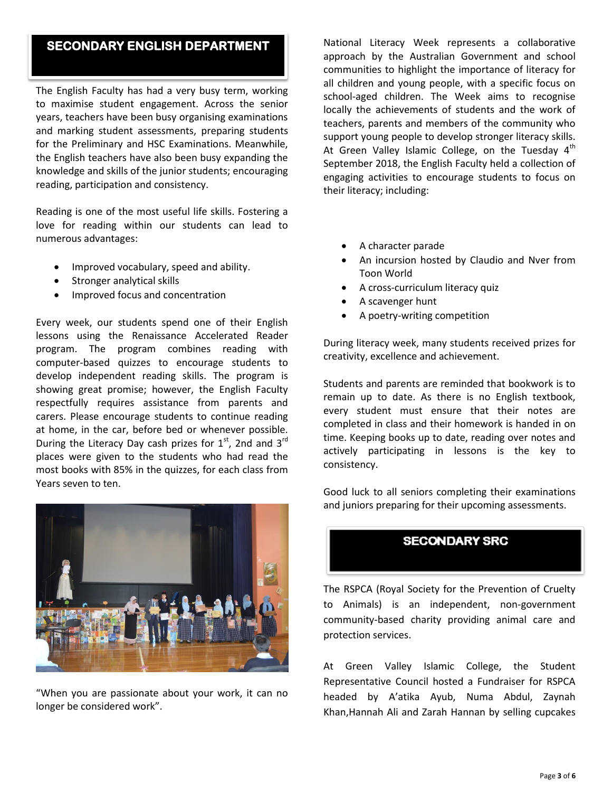## **SECONDARY ENGLISH DEPARTMENT**

The English Faculty has had a very busy term, working to maximise student engagement. Across the senior years, teachers have been busy organising examinations and marking student assessments, preparing students for the Preliminary and HSC Examinations. Meanwhile, the English teachers have also been busy expanding the knowledge and skills of the junior students; encouraging reading, participation and consistency.

Reading is one of the most useful life skills. Fostering a love for reading within our students can lead to numerous advantages:

- Improved vocabulary, speed and ability.
- Stronger analytical skills
- Improved focus and concentration

Every week, our students spend one of their English lessons using the Renaissance Accelerated Reader program. The program combines reading with computer-based quizzes to encourage students to develop independent reading skills. The program is showing great promise; however, the English Faculty respectfully requires assistance from parents and carers. Please encourage students to continue reading at home, in the car, before bed or whenever possible. During the Literacy Day cash prizes for  $1<sup>st</sup>$ , 2nd and  $3<sup>rd</sup>$ places were given to the students who had read the most books with 85% in the quizzes, for each class from Years seven to ten.



"When you are passionate about your work, it can no longer be considered work".

National Literacy Week represents a collaborative approach by the Australian Government and school communities to highlight the importance of literacy for all children and young people, with a specific focus on school-aged children. The Week aims to recognise locally the achievements of students and the work of teachers, parents and members of the community who support young people to develop stronger literacy skills. At Green Valley Islamic College, on the Tuesday  $4<sup>th</sup>$ September 2018, the English Faculty held a collection of engaging activities to encourage students to focus on their literacy; including:

- A character parade
- An incursion hosted by Claudio and Nver from Toon World
- A cross-curriculum literacy quiz
- A scavenger hunt
- A poetry-writing competition

During literacy week, many students received prizes for creativity, excellence and achievement.

Students and parents are reminded that bookwork is to remain up to date. As there is no English textbook, every student must ensure that their notes are completed in class and their homework is handed in on time. Keeping books up to date, reading over notes and actively participating in lessons is the key to consistency.

Good luck to all seniors completing their examinations and juniors preparing for their upcoming assessments.

### **SECONDARY SRC**

The RSPCA (Royal Society for the Prevention of Cruelty to Animals) is an independent, non-government community-based charity providing animal care and protection services.

At Green Valley Islamic College, the Student Representative Council hosted a Fundraiser for RSPCA headed by A'atika Ayub, Numa Abdul, Zaynah Khan,Hannah Ali and Zarah Hannan by selling cupcakes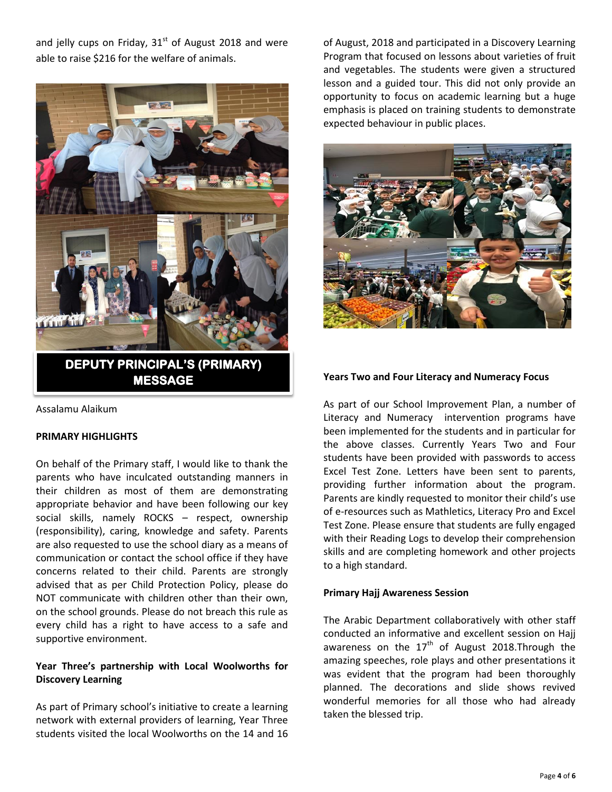and jelly cups on Friday,  $31<sup>st</sup>$  of August 2018 and were able to raise \$216 for the welfare of animals.



Assalamu Alaikum

#### **PRIMARY HIGHLIGHTS**

On behalf of the Primary staff, I would like to thank the parents who have inculcated outstanding manners in their children as most of them are demonstrating appropriate behavior and have been following our key social skills, namely ROCKS – respect, ownership (responsibility), caring, knowledge and safety. Parents are also requested to use the school diary as a means of communication or contact the school office if they have concerns related to their child. Parents are strongly advised that as per Child Protection Policy, please do NOT communicate with children other than their own, on the school grounds. Please do not breach this rule as every child has a right to have access to a safe and supportive environment.

#### **Year Three's partnership with Local Woolworths for Discovery Learning**

As part of Primary school's initiative to create a learning network with external providers of learning, Year Three students visited the local Woolworths on the 14 and 16 of August, 2018 and participated in a Discovery Learning Program that focused on lessons about varieties of fruit and vegetables. The students were given a structured lesson and a guided tour. This did not only provide an opportunity to focus on academic learning but a huge emphasis is placed on training students to demonstrate expected behaviour in public places.



#### **Years Two and Four Literacy and Numeracy Focus**

As part of our School Improvement Plan, a number of Literacy and Numeracy intervention programs have been implemented for the students and in particular for the above classes. Currently Years Two and Four students have been provided with passwords to access Excel Test Zone. Letters have been sent to parents, providing further information about the program. Parents are kindly requested to monitor their child's use of e-resources such as Mathletics, Literacy Pro and Excel Test Zone. Please ensure that students are fully engaged with their Reading Logs to develop their comprehension skills and are completing homework and other projects to a high standard.

#### **Primary Hajj Awareness Session**

The Arabic Department collaboratively with other staff conducted an informative and excellent session on Hajj awareness on the  $17<sup>th</sup>$  of August 2018. Through the amazing speeches, role plays and other presentations it was evident that the program had been thoroughly planned. The decorations and slide shows revived wonderful memories for all those who had already taken the blessed trip.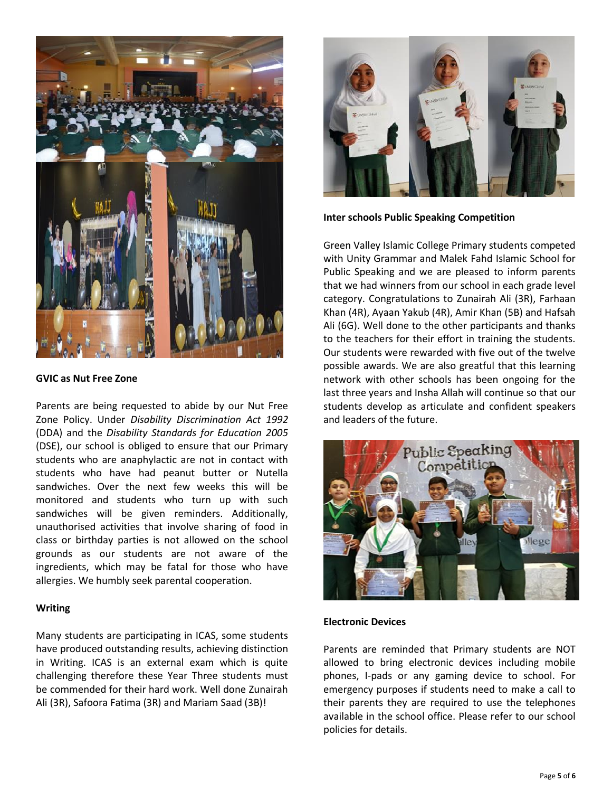

#### **GVIC as Nut Free Zone**

Parents are being requested to abide by our Nut Free Zone Policy. Under *Disability Discrimination Act 1992* (DDA) and the *Disability Standards for Education 2005* (DSE), our school is obliged to ensure that our Primary students who are anaphylactic are not in contact with students who have had peanut butter or Nutella sandwiches. Over the next few weeks this will be monitored and students who turn up with such sandwiches will be given reminders. Additionally, unauthorised activities that involve sharing of food in class or birthday parties is not allowed on the school grounds as our students are not aware of the ingredients, which may be fatal for those who have allergies. We humbly seek parental cooperation.

#### **Writing**

Many students are participating in ICAS, some students have produced outstanding results, achieving distinction in Writing. ICAS is an external exam which is quite challenging therefore these Year Three students must be commended for their hard work. Well done Zunairah Ali (3R), Safoora Fatima (3R) and Mariam Saad (3B)!



**Inter schools Public Speaking Competition**

Green Valley Islamic College Primary students competed with Unity Grammar and Malek Fahd Islamic School for Public Speaking and we are pleased to inform parents that we had winners from our school in each grade level category. Congratulations to Zunairah Ali (3R), Farhaan Khan (4R), Ayaan Yakub (4R), Amir Khan (5B) and Hafsah Ali (6G). Well done to the other participants and thanks to the teachers for their effort in training the students. Our students were rewarded with five out of the twelve possible awards. We are also greatful that this learning network with other schools has been ongoing for the last three years and Insha Allah will continue so that our students develop as articulate and confident speakers and leaders of the future.



#### **Electronic Devices**

Parents are reminded that Primary students are NOT allowed to bring electronic devices including mobile phones, I-pads or any gaming device to school. For emergency purposes if students need to make a call to their parents they are required to use the telephones available in the school office. Please refer to our school policies for details.